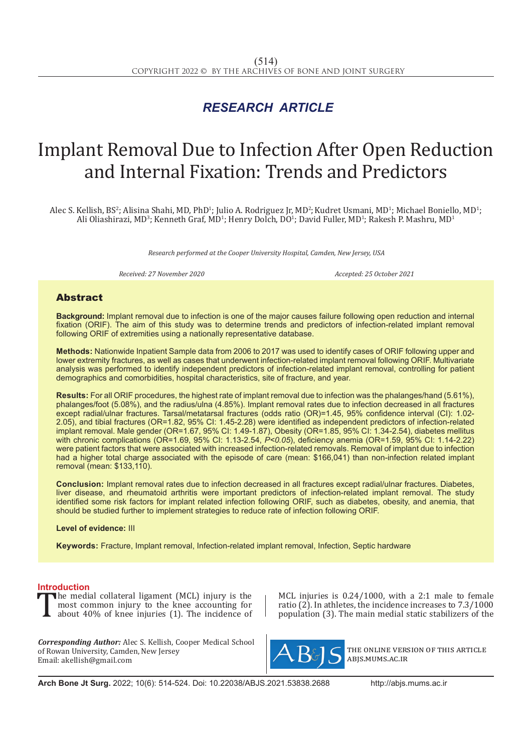## *RESEARCH ARTICLE*

# Implant Removal Due to Infection After Open Reduction and Internal Fixation: Trends and Predictors

Alec S. Kellish, BS<sup>2</sup>; Alisina Shahi, MD, PhD<sup>1</sup>; Julio A. Rodriguez Jr, MD<sup>2</sup>; Kudret Usmani, MD<sup>1</sup>; Michael Boniello, MD<sup>1</sup>; Ali Oliashirazi, MD<sup>3</sup>; Kenneth Graf, MD<sup>1</sup>; Henry Dolch, DO<sup>1</sup>; David Fuller, MD<sup>1</sup>; Rakesh P. Mashru, MD<sup>1</sup>

*Research performed at the Cooper University Hospital, Camden, New Jersey, USA*

*Received: 27 November 2020 Accepted: 25 October 2021*

#### Abstract

**Background:** Implant removal due to infection is one of the major causes failure following open reduction and internal fixation (ORIF). The aim of this study was to determine trends and predictors of infection-related implant removal following ORIF of extremities using a nationally representative database.

**Methods:** Nationwide Inpatient Sample data from 2006 to 2017 was used to identify cases of ORIF following upper and lower extremity fractures, as well as cases that underwent infection-related implant removal following ORIF. Multivariate analysis was performed to identify independent predictors of infection-related implant removal, controlling for patient demographics and comorbidities, hospital characteristics, site of fracture, and year.

**Results:** For all ORIF procedures, the highest rate of implant removal due to infection was the phalanges/hand (5.61%), phalanges/foot (5.08%), and the radius/ulna (4.85%). Implant removal rates due to infection decreased in all fractures except radial/ulnar fractures. Tarsal/metatarsal fractures (odds ratio (OR)=1.45, 95% confidence interval (CI): 1.02- 2.05), and tibial fractures (OR=1.82, 95% CI: 1.45-2.28) were identified as independent predictors of infection-related implant removal. Male gender (OR=1.67, 95% CI: 1.49-1.87), Obesity (OR=1.85, 95% CI: 1.34-2.54), diabetes mellitus with chronic complications (OR=1.69, 95% CI: 1.13-2.54, *P<0.05*), deficiency anemia (OR=1.59, 95% CI: 1.14-2.22) were patient factors that were associated with increased infection-related removals. Removal of implant due to infection had a higher total charge associated with the episode of care (mean: \$166,041) than non-infection related implant removal (mean: \$133,110).

**Conclusion:** Implant removal rates due to infection decreased in all fractures except radial/ulnar fractures. Diabetes, liver disease, and rheumatoid arthritis were important predictors of infection-related implant removal. The study identified some risk factors for implant related infection following ORIF, such as diabetes, obesity, and anemia, that should be studied further to implement strategies to reduce rate of infection following ORIF.

**Level of evidence:** III

**Keywords:** Fracture, Implant removal, Infection-related implant removal, Infection, Septic hardware

**Introduction**<br>The medial collateral ligament (MCL) injury is the The medial collateral ligament (MCL) injury is the<br>most common injury to the knee accounting for<br>about 40% of knee injuries (1). The incidence of most common injury to the knee accounting for about 40% of knee injuries (1). The incidence of

*Corresponding Author:* Alec S. Kellish, Cooper Medical School of Rowan University, Camden, New Jersey Email: akellish@gmail.com

MCL injuries is 0.24/1000, with a 2:1 male to female ratio (2). In athletes, the incidence increases to 7.3/1000 population (3). The main medial static stabilizers of the



the online version of this article abjs.mums.ac.ir

**Arch Bone Jt Surg.** 2022; 10(6): 514-524. Doi: 10.22038/ABJS.2021.53838.2688 http://abjs.mums.ac.ir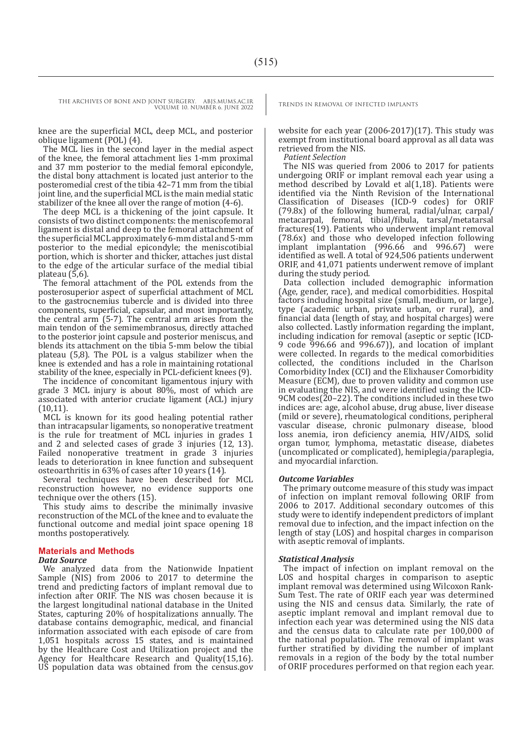knee are the superficial MCL, deep MCL, and posterior oblique ligament (POL) (4).

The MCL lies in the second layer in the medial aspect of the knee, the femoral attachment lies 1-mm proximal and 37 mm posterior to the medial femoral epicondyle, the distal bony attachment is located just anterior to the posteromedial crest of the tibia 42–71 mm from the tibial joint line, and the superficial MCL is the main medial static stabilizer of the knee all over the range of motion (4-6).

The deep MCL is a thickening of the joint capsule. It consists of two distinct components: the meniscofemoral ligament is distal and deep to the femoral attachment of the superficial MCL approximately 6-mm distal and 5-mm posterior to the medial epicondyle; the meniscotibial portion, which is shorter and thicker, attaches just distal to the edge of the articular surface of the medial tibial plateau (5,6).

The femoral attachment of the POL extends from the posterosuperior aspect of superficial attachment of MCL to the gastrocnemius tubercle and is divided into three components, superficial, capsular, and most importantly, the central arm (5-7). The central arm arises from the main tendon of the semimembranosus, directly attached to the posterior joint capsule and posterior meniscus, and blends its attachment on the tibia 5-mm below the tibial plateau (5,8). The POL is a valgus stabilizer when the knee is extended and has a role in maintaining rotational stability of the knee, especially in PCL-deficient knees (9).

The incidence of concomitant ligamentous injury with grade 3 MCL injury is about 80%, most of which are associated with anterior cruciate ligament (ACL) injury (10,11).

MCL is known for its good healing potential rather than intracapsular ligaments, so nonoperative treatment is the rule for treatment of MCL injuries in grades 1 and 2 and selected cases of grade  $\tilde{3}$  injuries (12, 13). Failed nonoperative treatment in grade 3 injuries leads to deterioration in knee function and subsequent osteoarthritis in 63% of cases after 10 years (14).

Several techniques have been described for MCL reconstruction however, no evidence supports one technique over the others (15).

This study aims to describe the minimally invasive reconstruction of the MCL of the knee and to evaluate the functional outcome and medial joint space opening 18 months postoperatively.

### **Materials and Methods**

#### *Data Source*

We analyzed data from the Nationwide Inpatient Sample (NIS) from 2006 to 2017 to determine the trend and predicting factors of implant removal due to infection after ORIF. The NIS was chosen because it is the largest longitudinal national database in the United States, capturing 20% of hospitalizations annually. The database contains demographic, medical, and financial information associated with each episode of care from 1,051 hospitals across 15 states, and is maintained by the Healthcare Cost and Utilization project and the Agency for Healthcare Research and Quality(15,16). US population data was obtained from the census.gov

website for each year (2006-2017)(17). This study was exempt from institutional board approval as all data was retrieved from the NIS.

*Patient Selection*

The NIS was queried from 2006 to 2017 for patients undergoing ORIF or implant removal each year using a method described by Lovald et al(1,18). Patients were identified via the Ninth Revision of the International Classification of Diseases (ICD-9 codes) for ORIF (79.8x) of the following humeral, radial/ulnar, carpal/ metacarpal, femoral, tibial/fibula, tarsal/metatarsal fractures(19). Patients who underwent implant removal (78.6x) and those who developed infection following implant implantation (996.66 and 996.67) were identified as well. A total of 924,506 patients underwent ORIF, and 41,071 patients underwent remove of implant during the study period.

Data collection included demographic information (Age, gender, race), and medical comorbidities. Hospital factors including hospital size (small, medium, or large), type (academic urban, private urban, or rural), and financial data (length of stay, and hospital charges) were also collected. Lastly information regarding the implant, including indication for removal (aseptic or septic (ICD-9 code 996.66 and 996.67)), and location of implant were collected. In regards to the medical comorbidities collected, the conditions included in the Charlson Comorbidity Index (CCI) and the Elixhauser Comorbidity Measure (ECM), due to proven validity and common use in evaluating the NIS, and were identified using the ICD-9CM codes( $20-22$ ). The conditions included in these two indices are: age, alcohol abuse, drug abuse, liver disease (mild or severe), rheumatological conditions, peripheral vascular disease, chronic pulmonary disease, blood loss anemia, iron deficiency anemia, HIV/AIDS, solid organ tumor, lymphoma, metastatic disease, diabetes (uncomplicated or complicated), hemiplegia/paraplegia, and myocardial infarction.

#### *Outcome Variables*

The primary outcome measure of this study was impact of infection on implant removal following ORIF from 2006 to 2017. Additional secondary outcomes of this study were to identify independent predictors of implant removal due to infection, and the impact infection on the length of stay (LOS) and hospital charges in comparison with aseptic removal of implants.

#### *Statistical Analysis*

The impact of infection on implant removal on the LOS and hospital charges in comparison to aseptic implant removal was determined using Wilcoxon Rank-Sum Test. The rate of ORIF each year was determined using the NIS and census data. Similarly, the rate of aseptic implant removal and implant removal due to infection each year was determined using the NIS data and the census data to calculate rate per 100,000 of the national population. The removal of implant was further stratified by dividing the number of implant removals in a region of the body by the total number of ORIF procedures performed on that region each year.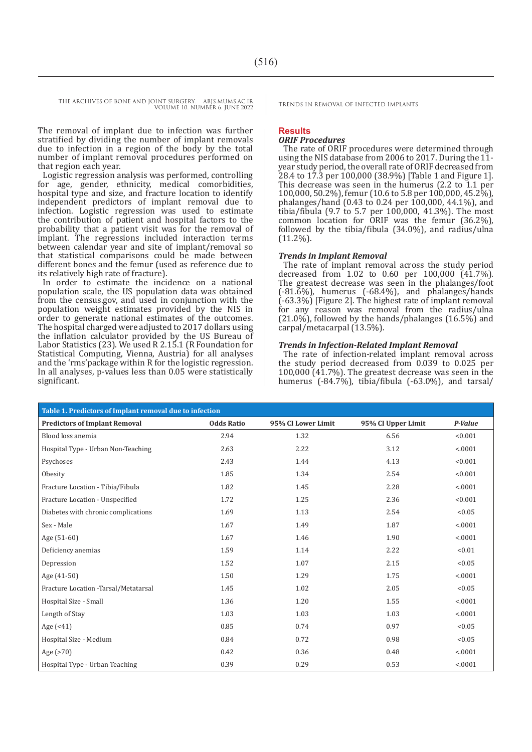The removal of implant due to infection was further stratified by dividing the number of implant removals due to infection in a region of the body by the total number of implant removal procedures performed on that region each year.

Logistic regression analysis was performed, controlling for age, gender, ethnicity, medical comorbidities, hospital type and size, and fracture location to identify independent predictors of implant removal due to infection. Logistic regression was used to estimate the contribution of patient and hospital factors to the probability that a patient visit was for the removal of implant. The regressions included interaction terms between calendar year and site of implant/removal so that statistical comparisons could be made between different bones and the femur (used as reference due to its relatively high rate of fracture).

In order to estimate the incidence on a national population scale, the US population data was obtained from the census.gov, and used in conjunction with the population weight estimates provided by the NIS in order to generate national estimates of the outcomes. The hospital charged were adjusted to 2017 dollars using the inflation calculator provided by the US Bureau of Labor Statistics (23). We used R 2.15.1 (R Foundation for Statistical Computing, Vienna, Austria) for all analyses and the 'rms'package within R for the logistic regression. In all analyses, p-values less than 0.05 were statistically significant.

#### **Results**

#### *ORIF Procedures*

The rate of ORIF procedures were determined through using the NIS database from 2006 to 2017. During the 11 year study period, the overall rate of ORIF decreased from  $28.4$  to  $17.3$  per  $100,000$  (38.9%) [Table 1 and Figure 1]. This decrease was seen in the humerus (2.2 to 1.1 per 100,000, 50.2%), femur (10.6 to 5.8 per 100,000, 45.2%), phalanges/hand (0.43 to 0.24 per 100,000, 44.1%), and tibia/fibula (9.7 to 5.7 per 100,000, 41.3%). The most common location for ORIF was the femur (36.2%), followed by the tibia/fibula (34.0%), and radius/ulna (11.2%).

#### *Trends in Implant Removal*

The rate of implant removal across the study period decreased from 1.02 to 0.60 per 100,000 (41.7%). The greatest decrease was seen in the phalanges/foot (-81.6%), humerus (-68.4%), and phalanges/hands (-63.3%) [Figure 2]. The highest rate of implant removal for any reason was removal from the radius/ulna  $(21.0\%)$ , followed by the hands/phalanges  $(16.5\%)$  and carpal/metacarpal (13.5%).

#### *Trends in Infection-Related Implant Removal*

The rate of infection-related implant removal across the study period decreased from 0.039 to 0.025 per 100,000 (41.7%). The greatest decrease was seen in the humerus (-84.7%), tibia/fibula (-63.0%), and tarsal/

| Table 1. Predictors of Implant removal due to infection |                   |                    |                    |         |
|---------------------------------------------------------|-------------------|--------------------|--------------------|---------|
| <b>Predictors of Implant Removal</b>                    | <b>Odds Ratio</b> | 95% CI Lower Limit | 95% CI Upper Limit | P-Value |
| Blood loss anemia                                       | 2.94              | 1.32               | 6.56               | < 0.001 |
| Hospital Type - Urban Non-Teaching                      | 2.63              | 2.22               | 3.12               | < .0001 |
| Psychoses                                               | 2.43              | 1.44               | 4.13               | < 0.001 |
| Obesity                                                 | 1.85              | 1.34               | 2.54               | < 0.001 |
| Fracture Location - Tibia/Fibula                        | 1.82              | 1.45               | 2.28               | < .0001 |
| Fracture Location - Unspecified                         | 1.72              | 1.25               | 2.36               | < 0.001 |
| Diabetes with chronic complications                     | 1.69              | 1.13               | 2.54               | < 0.05  |
| Sex - Male                                              | 1.67              | 1.49               | 1.87               | < .0001 |
| Age (51-60)                                             | 1.67              | 1.46               | 1.90               | < .0001 |
| Deficiency anemias                                      | 1.59              | 1.14               | 2.22               | < 0.01  |
| Depression                                              | 1.52              | 1.07               | 2.15               | < 0.05  |
| Age (41-50)                                             | 1.50              | 1.29               | 1.75               | < .0001 |
| Fracture Location -Tarsal/Metatarsal                    | 1.45              | 1.02               | 2.05               | < 0.05  |
| Hospital Size - Small                                   | 1.36              | 1.20               | 1.55               | < .0001 |
| Length of Stay                                          | 1.03              | 1.03               | 1.03               | < .0001 |
| Age (<41)                                               | 0.85              | 0.74               | 0.97               | < 0.05  |
| Hospital Size - Medium                                  | 0.84              | 0.72               | 0.98               | < 0.05  |
| Age $( > 70)$                                           | 0.42              | 0.36               | 0.48               | < .0001 |
| Hospital Type - Urban Teaching                          | 0.39              | 0.29               | 0.53               | < .0001 |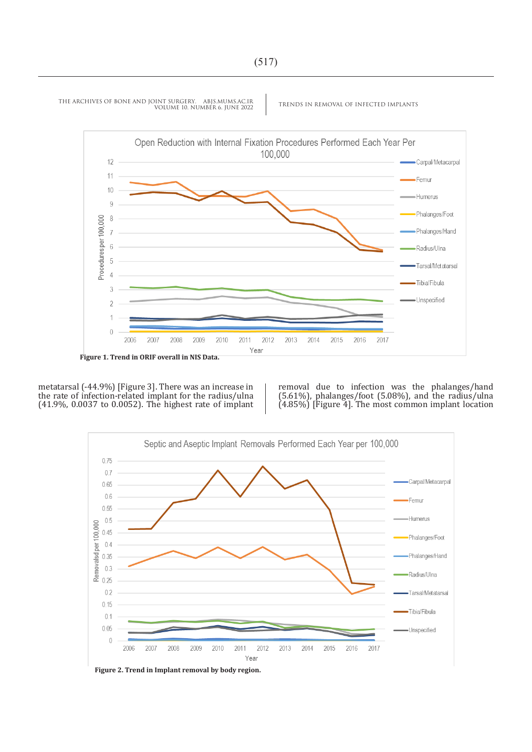

metatarsal (-44.9%) [Figure 3]. There was an increase in the rate of infection-related implant for the radius/ulna (41.9%, 0.0037 to 0.0052). The highest rate of implant

removal due to infection was the phalanges/hand  $(5.61\%)$ , phalanges/foot  $(5.08\%)$ , and the radius/ulna (4.85%) [Figure 4]. The most common implant location



**Figure 2. Trend in Implant removal by body region.**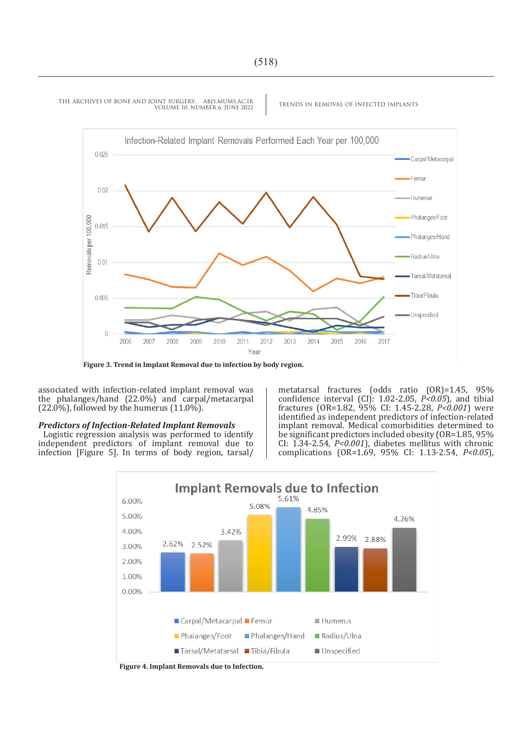

associated with infection-related implant removal was the phalanges/hand (22.0%) and carpal/metacarpal  $(22.0\%)$ , followed by the humerus  $(11.0\%)$ .

#### *Predictors of Infection-Related Implant Removals*

Logistic regression analysis was performed to identify independent predictors of implant removal due to infection [Figure 5]. In terms of body region, tarsal/

metatarsal fractures (odds ratio (OR)=1.45, 95% confidence interval (CI): 1.02-2.05, *P<0.05*), and tibial fractures (OR=1.82, 95% CI: 1.45-2.28, *P<0.001*) were identified as independent predictors of infection-related implant removal. Medical comorbidities determined to be significant predictors included obesity (OR=1.85, 95%) CI: 1.34-2.54, *P<0.001*), diabetes mellitus with chronic complications (OR=1.69, 95% CI: 1.13-2.54, *P<0.05*),



**Figure 4. Implant Removals due to Infection.**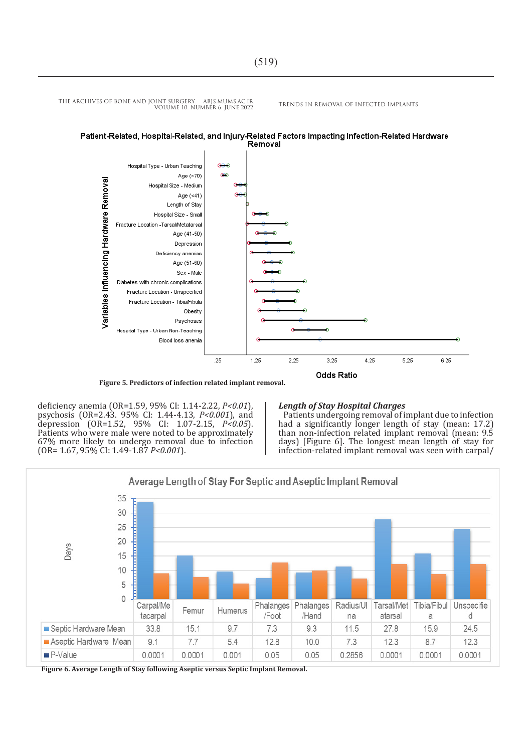

**Figure 5. Predictors of infection related implant removal.**

deficiency anemia (OR=1.59, 95% CI: 1.14-2.22, *P<0.01*), psychosis (OR=2.43. 95% CI: 1.44-4.13, *P<0.001*), and depression (OR=1.52, 95% CI: 1.07-2.15, *P<0.05*). Patients who were male were noted to be approximately 67% more likely to undergo removal due to infection (OR= 1.67, 95% CI: 1.49-1.87 *P<0.001*).

#### *Length of Stay Hospital Charges*

Patients undergoing removal of implant due to infection had a significantly longer length of stay (mean: 17.2) than non-infection related implant removal (mean: 9.5 days) [Figure 6]. The longest mean length of stay for infection-related implant removal was seen with carpal/



**Figure 6. Average Length of Stay following Aseptic versus Septic Implant Removal.**

THE ARCHIVES OF BONE AND JOINT SURGERY. ABJS.MUMS.AC.IR TRENDS IN REMOVAL OF INFECTED IMPLANTS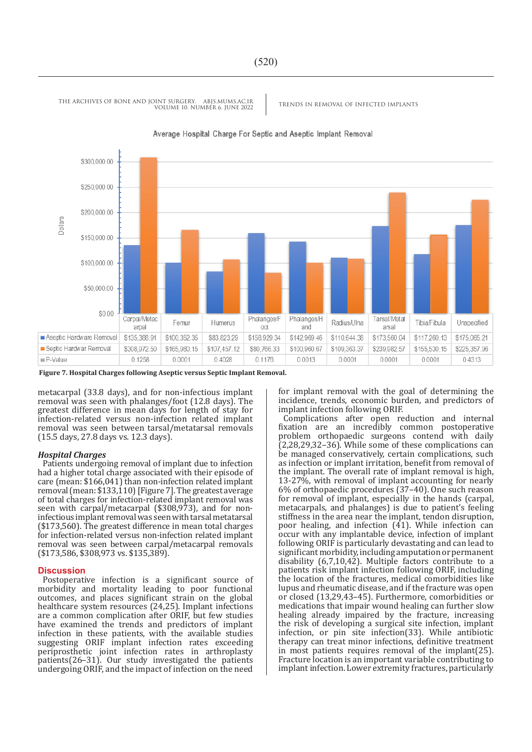

Average Hospital Charge For Septic and Aseptic Implant Removal

**Figure 7. Hospital Charges following Aseptic versus Septic Implant Removal.**

metacarpal (33.8 days), and for non-infectious implant removal was seen with phalanges/foot (12.8 days). The greatest difference in mean days for length of stay for infection-related versus non-infection related implant removal was seen between tarsal/metatarsal removals (15.5 days, 27.8 days vs. 12.3 days).

#### *Hospital Charges*

Patients undergoing removal of implant due to infection had a higher total charge associated with their episode of care (mean: \$166,041) than non-infection related implant removal (mean: \$133,110) [Figure 7]. The greatest average of total charges for infection-related implant removal was seen with carpal/metacarpal (\$308,973), and for noninfectious implant removal was seen with tarsal metatarsal (\$173,560). The greatest difference in mean total charges for infection-related versus non-infection related implant removal was seen between carpal/metacarpal removals (\$173,586, \$308,973 vs. \$135,389).

#### **Discussion**

Postoperative infection is a significant source of morbidity and mortality leading to poor functional outcomes, and places significant strain on the global healthcare system resources (24,25). Implant infections are a common complication after ORIF, but few studies have examined the trends and predictors of implant infection in these patients, with the available studies suggesting ORIF implant infection rates exceeding periprosthetic joint infection rates in arthroplasty patients(26–31). Our study investigated the patients undergoing ORIF, and the impact of infection on the need

for implant removal with the goal of determining the incidence, trends, economic burden, and predictors of implant infection following ORIF.

Complications after open reduction and internal fixation are an incredibly common postoperative problem orthopaedic surgeons contend with daily (2,28,29,32–36). While some of these complications can be managed conservatively, certain complications, such as infection or implant irritation, benefit from removal of the implant. The overall rate of implant removal is high, 13-27%, with removal of implant accounting for nearly 6% of orthopaedic procedures (37–40). One such reason for removal of implant, especially in the hands (carpal, metacarpals, and phalanges) is due to patient's feeling stiffness in the area near the implant, tendon disruption, poor healing, and infection (41). While infection can occur with any implantable device, infection of implant following ORIF is particularly devastating and can lead to significant morbidity, including amputation or permanent disability (6,7,10,42). Multiple factors contribute to a patients risk implant infection following ORIF, including the location of the fractures, medical comorbidities like lupus and rheumatic disease, and if the fracture was open or closed (13,29,43–45). Furthermore, comorbidities or medications that impair wound healing can further slow healing already impaired by the fracture, increasing the risk of developing a surgical site infection, implant infection, or pin site infection(33). While antibiotic therapy can treat minor infections, definitive treatment in most patients requires removal of the implant(25). Fracture location is an important variable contributing to implant infection. Lower extremity fractures, particularly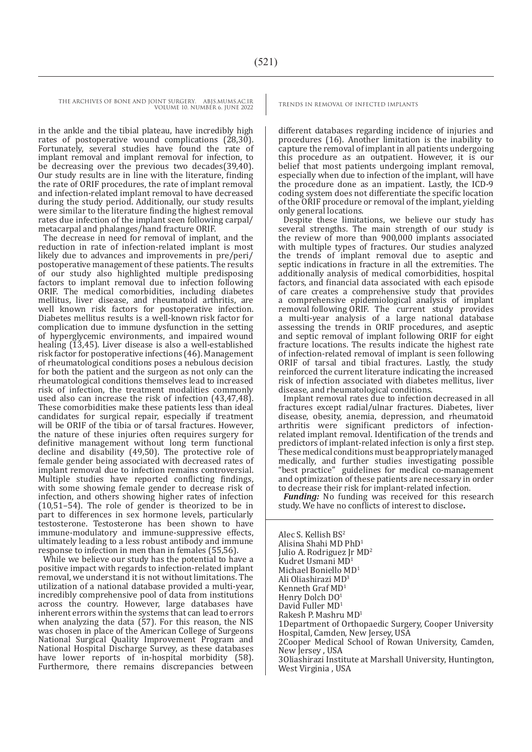in the ankle and the tibial plateau, have incredibly high rates of postoperative wound complications (28,30). Fortunately, several studies have found the rate of implant removal and implant removal for infection, to be decreasing over the previous two decades(39,40). Our study results are in line with the literature, finding the rate of ORIF procedures, the rate of implant removal and infection-related implant removal to have decreased during the study period. Additionally, our study results were similar to the literature finding the highest removal rates due infection of the implant seen following carpal/ metacarpal and phalanges/hand fracture ORIF.

The decrease in need for removal of implant, and the reduction in rate of infection-related implant is most likely due to advances and improvements in pre/peri/ postoperative management of these patients. The results of our study also highlighted multiple predisposing factors to implant removal due to infection following ORIF. The medical comorbidities, including diabetes mellitus, liver disease, and rheumatoid arthritis, are well known risk factors for postoperative infection. Diabetes mellitus results is a well-known risk factor for complication due to immune dysfunction in the setting of hyperglycemic environments, and impaired wound healing (13,45). Liver disease is also a well-established risk factor for postoperative infections (46). Management of rheumatological conditions poses a nebulous decision for both the patient and the surgeon as not only can the rheumatological conditions themselves lead to increased risk of infection, the treatment modalities commonly used also can increase the risk of infection (43,47,48). These comorbidities make these patients less than ideal candidates for surgical repair, especially if treatment will be ORIF of the tibia or of tarsal fractures. However, the nature of these injuries often requires surgery for definitive management without long term functional decline and disability (49,50). The protective role of female gender being associated with decreased rates of implant removal due to infection remains controversial. Multiple studies have reported conflicting findings, with some showing female gender to decrease risk of infection, and others showing higher rates of infection (10,51–54). The role of gender is theorized to be in part to differences in sex hormone levels, particularly testosterone. Testosterone has been shown to have immune-modulatory and immune-suppressive effects, ultimately leading to a less robust antibody and immune response to infection in men than in females (55,56).

While we believe our study has the potential to have a positive impact with regards to infection-related implant removal, we understand it is not without limitations. The utilization of a national database provided a multi-year, incredibly comprehensive pool of data from institutions across the country. However, large databases have inherent errors within the systems that can lead to errors when analyzing the data  $(57)$ . For this reason, the NIS was chosen in place of the American College of Surgeons National Surgical Quality Improvement Program and National Hospital Discharge Survey, as these databases have lower reports of in-hospital morbidity (58). Furthermore, there remains discrepancies between

different databases regarding incidence of injuries and procedures (16). Another limitation is the inability to capture the removal of implant in all patients undergoing this procedure as an outpatient. However, it is our belief that most patients undergoing implant removal, especially when due to infection of the implant, will have the procedure done as an impatient. Lastly, the ICD-9 coding system does not differentiate the specific location of the ORIF procedure or removal of the implant, yielding only general locations.

Despite these limitations, we believe our study has several strengths. The main strength of our study is the review of more than 900,000 implants associated with multiple types of fractures. Our studies analyzed the trends of implant removal due to aseptic and septic indications in fracture in all the extremities. The additionally analysis of medical comorbidities, hospital factors, and financial data associated with each episode of care creates a comprehensive study that provides a comprehensive epidemiological analysis of implant removal following ORIF. The current study provides a multi-year analysis of a large national database assessing the trends in ORIF procedures, and aseptic and septic removal of implant following ORIF for eight fracture locations. The results indicate the highest rate of infection-related removal of implant is seen following ORIF of tarsal and tibial fractures. Lastly, the study reinforced the current literature indicating the increased risk of infection associated with diabetes mellitus, liver disease, and rheumatological conditions.

Implant removal rates due to infection decreased in all fractures except radial/ulnar fractures. Diabetes, liver disease, obesity, anemia, depression, and rheumatoid arthritis were significant predictors of infectionrelated implant removal. Identification of the trends and predictors of implant-related infection is only a first step. These medical conditions must be appropriately managed medically, and further studies investigating possible "best practice" guidelines for medical co-management and optimization of these patients are necessary in order to decrease their risk for implant-related infection.

*Funding:* No funding was received for this research study. We have no conflicts of interest to disclose**.**

Alec S. Kellish BS<sup>2</sup> Alisina Shahi MD PhD1 Julio A. Rodriguez Jr MD2 Kudret Usmani MD<sup>1</sup> Michael Boniello MD<sup>1</sup> Ali Oliashirazi MD3 Kenneth Graf MD<sup>1</sup> Henry Dolch DO1 David Fuller MD<sup>1</sup> Rakesh P. Mashru MD<sup>1</sup> 1Department of Orthopaedic Surgery, Cooper University Hospital, Camden, New Jersey, USA 2Cooper Medical School of Rowan University, Camden, New Jersey , USA 3Oliashirazi Institute at Marshall University, Huntington, West Virginia , USA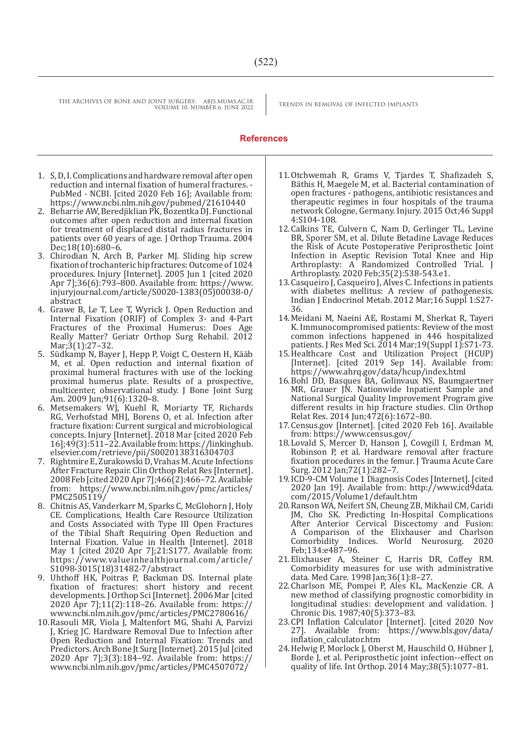#### **References**

- 1. S, D, I. Complications and hardware removal after open reduction and internal fixation of humeral fractures. - PubMed - NCBI. [cited 2020 Feb 16]; Available from: https://www.ncbi.nlm.nih.gov/pubmed/21610440
- 2. Beharrie AW, Beredjiklian PK, Bozentka DJ. Functional outcomes after open reduction and internal fixation for treatment of displaced distal radius fractures in patients over 60 years of age. J Orthop Trauma. 2004 Dec;18(10):680–6.
- 3. Chirodian N, Arch B, Parker MJ. Sliding hip screw fixation of trochanteric hip fractures: Outcome of 1024 procedures. Injury [Internet]. 2005 Jun 1 [cited 2020 Apr 7];36(6):793–800. Available from: https://www. injuryjournal.com/article/S0020-1383(05)00038-0/ abstract
- 4. Grawe B, Le T, Lee T, Wyrick J. Open Reduction and Internal Fixation (ORIF) of Complex 3- and 4-Part Fractures of the Proximal Humerus: Does Age Really Matter? Geriatr Orthop Surg Rehabil. 2012 Mar;3(1):27–32.
- 5. Südkamp N, Bayer J, Hepp P, Voigt C, Oestern H, Kääb M, et al. Open reduction and internal fixation of proximal humeral fractures with use of the locking proximal humerus plate. Results of a prospective, multicenter, observational study. J Bone Joint Surg Am. 2009 Jun;91(6):1320–8.
- 6. Metsemakers WJ, Kuehl R, Moriarty TF, Richards RG, Verhofstad MHJ, Borens O, et al. Infection after fracture fixation: Current surgical and microbiological concepts. Injury [Internet]. 2018 Mar [cited 2020 Feb 16];49(3):511–22. Available from: https://linkinghub. elsevier.com/retrieve/pii/S0020138316304703
- 7. Rightmire E, Zurakowski D, Vrahas M. Acute Infections After Fracture Repair. Clin Orthop Relat Res [Internet]. 2008 Feb [cited 2020 Apr 7];466(2):466–72. Available from: https://www.ncbi.nlm.nih.gov/pmc/articles/ PMC2505119/
- 8. Chitnis AS, Vanderkarr M, Sparks C, McGlohorn J, Holy CE. Complications, Health Care Resource Utilization and Costs Associated with Type III Open Fractures of the Tibial Shaft Requiring Open Reduction and Internal Fixation. Value in Health [Internet]. 2018 May 1 [cited 2020 Apr 7];21:S177. Available from: https://www.valueinhealthjournal.com/article/ S1098-3015(18)31482-7/abstract
- 9. Uhthoff HK, Poitras P, Backman DS. Internal plate fixation of fractures: short history and recent developments. J Orthop Sci [Internet]. 2006 Mar [cited 2020 Apr 7];11(2):118–26. Available from: https:// www.ncbi.nlm.nih.gov/pmc/articles/PMC2780616/
- 10.Rasouli MR, Viola J, Maltenfort MG, Shahi A, Parvizi J, Krieg JC. Hardware Removal Due to Infection after Open Reduction and Internal Fixation: Trends and Predictors. Arch Bone Jt Surg [Internet]. 2015 Jul [cited 2020 Apr 7];3(3):184–92. Available from: https:// www.ncbi.nlm.nih.gov/pmc/articles/PMC4507072/
- 11.Otchwemah R, Grams V, Tjardes T, Shafizadeh S, Bäthis H, Maegele M, et al. Bacterial contamination of open fractures - pathogens, antibiotic resistances and therapeutic regimes in four hospitals of the trauma network Cologne, Germany. Injury. 2015 Oct;46 Suppl 4:S104-108.
- 12.Calkins TE, Culvern C, Nam D, Gerlinger TL, Levine BR, Sporer SM, et al. Dilute Betadine Lavage Reduces the Risk of Acute Postoperative Periprosthetic Joint Infection in Aseptic Revision Total Knee and Hip Arthroplasty: A Randomized Controlled Trial. J Arthroplasty. 2020 Feb;35(2):538-543.e1.
- 13.Casqueiro J, Casqueiro J, Alves C. Infections in patients with diabetes mellitus: A review of pathogenesis. Indian J Endocrinol Metab. 2012 Mar;16 Suppl 1:S27- 36.
- 14.Meidani M, Naeini AE, Rostami M, Sherkat R, Tayeri K. Immunocompromised patients: Review of the most common infections happened in 446 hospitalized patients. J Res Med Sci. 2014 Mar; 19(Suppl 1): S71-73.
- 15.Healthcare Cost and Utilization Project (HCUP) [Internet]. [cited 2019 Sep 14]. Available from: https://www.ahrq.gov/data/hcup/index.html
- 16.Bohl DD, Basques BA, Golinvaux NS, Baumgaertner MR, Grauer JN. Nationwide Inpatient Sample and National Surgical Quality Improvement Program give different results in hip fracture studies. Clin Orthop Relat Res. 2014 Jun;472(6):1672–80.
- 17.Census.gov [Internet]. [cited 2020 Feb 16]. Available from: https://www.census.gov/
- 18.Lovald S, Mercer D, Hanson J, Cowgill I, Erdman M, Robinson P, et al. Hardware removal after fracture fixation procedures in the femur. J Trauma Acute Care Surg. 2012 Jan;72(1):282–7.
- 19.ICD-9-CM Volume 1 Diagnosis Codes [Internet]. [cited 2020 Jan 19]. Available from: http://www.icd9data. com/2015/Volume1/default.htm
- 20.Ranson WA, Neifert SN, Cheung ZB, Mikhail CM, Caridi JM, Cho SK. Predicting In-Hospital Complications After Anterior Cervical Discectomy and Fusion: A Comparison of the Elixhauser and Charlson Comorbidity Indices. World Neurosurg. Feb;134:e487–96.
- 21.Elixhauser A, Steiner C, Harris DR, Coffey RM. Comorbidity measures for use with administrative data. Med Care. 1998 Jan;36(1):8–27.
- 22.Charlson ME, Pompei P, Ales KL, MacKenzie CR. A new method of classifying prognostic comorbidity in longitudinal studies: development and validation. J Chronic Dis. 1987;40(5):373–83.
- 23.CPI Inflation Calculator [Internet]. [cited 2020 Nov 27]. Available from: https://www.bls.gov/data/ inflation\_calculator.htm
- 24.Helwig P, Morlock J, Oberst M, Hauschild O, Hübner J, Borde J, et al. Periprosthetic joint infection--effect on quality of life. Int Orthop. 2014 May;38(5):1077–81.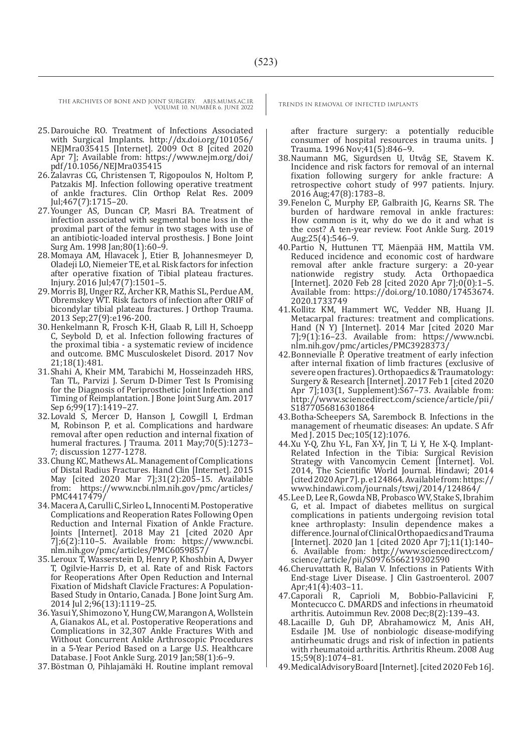- 25.Darouiche RO. Treatment of Infections Associated with Surgical Implants. http://dx.doi.org/101056/ NEJMra035415 [Internet]. 2009 Oct 8 [cited 2020 Apr 7]; Available from: https://www.nejm.org/doi/ pdf/10.1056/NEJMra035415
- 26.Zalavras CG, Christensen T, Rigopoulos N, Holtom P, Patzakis MJ. Infection following operative treatment of ankle fractures. Clin Orthop Relat Res. 2009 Jul;467(7):1715–20.
- 27.Younger AS, Duncan CP, Masri BA. Treatment of infection associated with segmental bone loss in the proximal part of the femur in two stages with use of an antibiotic-loaded interval prosthesis. J Bone Joint Surg Am. 1998 Jan;80(1):60–9.
- 28.Momaya AM, Hlavacek J, Etier B, Johannesmeyer D, Oladeji LO, Niemeier TE, et al. Risk factors for infection after operative fixation of Tibial plateau fractures. Injury. 2016 Jul;47(7):1501–5.
- 29.Morris BJ, Unger RZ, Archer KR, Mathis SL, Perdue AM, Obremskey WT. Risk factors of infection after ORIF of bicondylar tibial plateau fractures. J Orthop Trauma. 2013 Sep;27(9):e196-200.
- 30.Henkelmann R, Frosch K-H, Glaab R, Lill H, Schoepp C, Seybold D, et al. Infection following fractures of the proximal tibia - a systematic review of incidence and outcome. BMC Musculoskelet Disord. 2017 Nov 21;18(1):481.
- 31.Shahi A, Kheir MM, Tarabichi M, Hosseinzadeh HRS, Tan TL, Parvizi J. Serum D-Dimer Test Is Promising for the Diagnosis of Periprosthetic Joint Infection and Timing of Reimplantation. J Bone Joint Surg Am. 2017 Sep 6;99(17):1419–27.
- 32.Lovald S, Mercer D, Hanson J, Cowgill I, Erdman M, Robinson P, et al. Complications and hardware removal after open reduction and internal fixation of humeral fractures. J Trauma. 2011 May;70(5):1273-7; discussion 1277-1278.
- 33.Chung KC, Mathews AL. Management of Complications of Distal Radius Fractures. Hand Clin [Internet]. 2015 May [cited 2020 Mar 7];31(2):205–15. Available from: https://www.ncbi.nlm.nih.gov/pmc/articles/ PMC4417479/
- 34.Macera A, Carulli C, Sirleo L, Innocenti M. Postoperative Complications and Reoperation Rates Following Open Reduction and Internal Fixation of Ankle Fracture. Joints [Internet]. 2018 May 21 [cited 2020 Apr 7];6(2):110–5. Available from: https://www.ncbi. nlm.nih.gov/pmc/articles/PMC6059857/
- 35.Leroux T, Wasserstein D, Henry P, Khoshbin A, Dwyer T, Ogilvie-Harris D, et al. Rate of and Risk Factors for Reoperations After Open Reduction and Internal Fixation of Midshaft Clavicle Fractures: A Population-Based Study in Ontario, Canada. J Bone Joint Surg Am. 2014 Jul 2;96(13):1119–25.
- 36.Yasui Y, Shimozono Y, Hung CW, Marangon A, Wollstein A, Gianakos AL, et al. Postoperative Reoperations and Complications in 32,307 Ankle Fractures With and Without Concurrent Ankle Arthroscopic Procedures in a 5-Year Period Based on a Large U.S. Healthcare Database. J Foot Ankle Surg. 2019 Jan;58(1):6–9.
- 37.Böstman O, Pihlajamäki H. Routine implant removal

after fracture surgery: a potentially reducible consumer of hospital resources in trauma units. J Trauma. 1996 Nov;41(5):846–9.

- 38.Naumann MG, Sigurdsen U, Utvåg SE, Stavem K. Incidence and risk factors for removal of an internal fixation following surgery for ankle fracture: A retrospective cohort study of 997 patients. Injury. 2016 Aug;47(8):1783–8.
- 39.Fenelon C, Murphy EP, Galbraith JG, Kearns SR. The burden of hardware removal in ankle fractures: How common is it, why do we do it and what is the cost? A ten-year review. Foot Ankle Surg. 2019 Aug;  $25(4)$ :  $546-9$ .
- 40.Partio N, Huttunen TT, Mäenpää HM, Mattila VM. Reduced incidence and economic cost of hardware removal after ankle fracture surgery: a 20-year nationwide registry study. Acta Orthopaedica [Internet]. 2020 Feb 28 [cited 2020 Apr 7];0(0):1–5. Available from: https://doi.org/10.1080/17453674. 2020.1733749
- 41.Kollitz KM, Hammert WC, Vedder NB, Huang JI. Metacarpal fractures: treatment and complications. Hand (N Y) [Internet]. 2014 Mar [cited 2020 Mar  $7$ ];9(1):16-23. Available from: https://www.ncbi. nlm.nih.gov/pmc/articles/PMC3928373/
- 42.Bonnevialle P. Operative treatment of early infection after internal fixation of limb fractures (exclusive of severe open fractures). Orthopaedics & Traumatology: Surgery & Research [Internet]. 2017 Feb 1 [cited 2020 Apr 7];103(1, Supplement):S67–73. Available from: http://www.sciencedirect.com/science/article/pii/ S1877056816301864
- 43.Botha-Scheepers SA, Sarembock B. Infections in the management of rheumatic diseases: An update. S Afr Med J. 2015 Dec;105(12):1076.
- 44.Xu Y-Q, Zhu Y-L, Fan X-Y, Jin T, Li Y, He X-Q. Implant-Related Infection in the Tibia: Surgical Revision Strategy with Vancomycin Cement [Internet]. Vol. 2014, The Scientific World Journal. Hindawi; 2014 [cited 2020 Apr 7]. p. e124864. Available from: https:// www.hindawi.com/journals/tswj/2014/124864/
- 45.Lee D, Lee R, Gowda NB, Probasco WV, Stake S, Ibrahim G, et al. Impact of diabetes mellitus on surgical complications in patients undergoing revision total knee arthroplasty: Insulin dependence makes a difference. Journal of Clinical Orthopaedics and Trauma [Internet]. 2020 Jan 1 [cited 2020 Apr 7];11(1):140– 6. Available from: http://www.sciencedirect.com/ science/article/pii/S0976566219302590
- 46.Cheruvattath R, Balan V. Infections in Patients With End-stage Liver Disease. J Clin Gastroenterol. 2007 Apr;41(4):403–11.
- 47.Caporali R, Caprioli M, Bobbio-Pallavicini F, Montecucco C. DMARDS and infections in rheumatoid arthritis. Autoimmun Rev. 2008 Dec;8(2):139–43.
- 48.Lacaille D, Guh DP, Abrahamowicz M, Anis AH, Esdaile JM. Use of nonbiologic disease-modifying antirheumatic drugs and risk of infection in patients with rheumatoid arthritis. Arthritis Rheum. 2008 Aug 15;59(8):1074–81.
- 49.MedicalAdvisoryBoard [Internet]. [cited 2020 Feb 16].